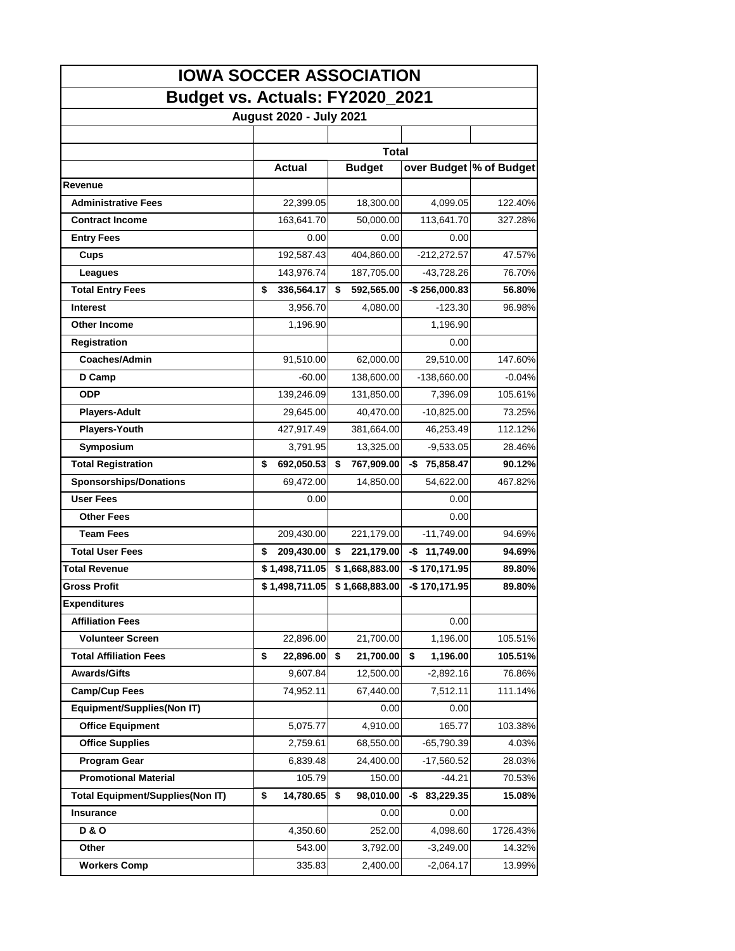| <b>IOWA SOCCER ASSOCIATION</b>          |    |                         |    |                |     |                 |             |  |  |  |
|-----------------------------------------|----|-------------------------|----|----------------|-----|-----------------|-------------|--|--|--|
| Budget vs. Actuals: FY2020_2021         |    |                         |    |                |     |                 |             |  |  |  |
|                                         |    | August 2020 - July 2021 |    |                |     |                 |             |  |  |  |
|                                         |    |                         |    |                |     |                 |             |  |  |  |
|                                         |    |                         |    |                |     |                 |             |  |  |  |
|                                         |    | <b>Actual</b>           |    | <b>Budget</b>  |     | over Budget     | % of Budget |  |  |  |
| Revenue                                 |    |                         |    |                |     |                 |             |  |  |  |
| <b>Administrative Fees</b>              |    | 22,399.05               |    | 18,300.00      |     | 4,099.05        | 122.40%     |  |  |  |
| <b>Contract Income</b>                  |    | 163,641.70              |    | 50,000.00      |     | 113,641.70      | 327.28%     |  |  |  |
| <b>Entry Fees</b>                       |    | 0.00                    |    | 0.00           |     | 0.00            |             |  |  |  |
| Cups                                    |    | 192,587.43              |    | 404,860.00     |     | $-212,272.57$   | 47.57%      |  |  |  |
| Leagues                                 |    | 143,976.74              |    | 187,705.00     |     | -43,728.26      | 76.70%      |  |  |  |
| <b>Total Entry Fees</b>                 | \$ | 336,564.17              | \$ | 592,565.00     |     | $-$256,000.83$  | 56.80%      |  |  |  |
| <b>Interest</b>                         |    | 3,956.70                |    | 4,080.00       |     | $-123.30$       | 96.98%      |  |  |  |
| <b>Other Income</b>                     |    | 1,196.90                |    |                |     | 1,196.90        |             |  |  |  |
| Registration                            |    |                         |    |                |     | 0.00            |             |  |  |  |
| <b>Coaches/Admin</b>                    |    | 91,510.00               |    | 62,000.00      |     | 29,510.00       | 147.60%     |  |  |  |
| D Camp                                  |    | $-60.00$                |    | 138,600.00     |     | $-138,660.00$   | $-0.04%$    |  |  |  |
| <b>ODP</b>                              |    | 139,246.09              |    | 131,850.00     |     | 7,396.09        | 105.61%     |  |  |  |
| <b>Players-Adult</b>                    |    | 29,645.00               |    | 40,470.00      |     | $-10,825.00$    | 73.25%      |  |  |  |
| <b>Players-Youth</b>                    |    | 427,917.49              |    | 381,664.00     |     | 46,253.49       | 112.12%     |  |  |  |
| Symposium                               |    | 3,791.95                |    | 13,325.00      |     | $-9,533.05$     | 28.46%      |  |  |  |
| <b>Total Registration</b>               | \$ | 692,050.53              | \$ | 767,909.00     |     | $-$ \$75,858.47 | 90.12%      |  |  |  |
| <b>Sponsorships/Donations</b>           |    | 69,472.00               |    | 14,850.00      |     | 54,622.00       | 467.82%     |  |  |  |
| <b>User Fees</b>                        |    | 0.00                    |    |                |     | 0.00            |             |  |  |  |
| <b>Other Fees</b>                       |    |                         |    |                |     | 0.00            |             |  |  |  |
| <b>Team Fees</b>                        |    | 209,430.00              |    | 221,179.00     |     | $-11,749.00$    | 94.69%      |  |  |  |
| <b>Total User Fees</b>                  | \$ | 209,430.00              | \$ | 221,179.00     | -\$ | 11,749.00       | 94.69%      |  |  |  |
| Total Revenue                           |    | \$1,498,711.05          |    | \$1,668,883.00 |     | -\$170,171.95   | 89.80%      |  |  |  |
| Gross Profit                            |    | \$1,498,711.05          |    | \$1,668,883.00 |     | -\$170,171.95   | 89.80%      |  |  |  |
| <b>Expenditures</b>                     |    |                         |    |                |     |                 |             |  |  |  |
| <b>Affiliation Fees</b>                 |    |                         |    |                |     | 0.00            |             |  |  |  |
| <b>Volunteer Screen</b>                 |    | 22,896.00               |    | 21,700.00      |     | 1,196.00        | 105.51%     |  |  |  |
| <b>Total Affiliation Fees</b>           | \$ | 22,896.00               | \$ | 21,700.00      | \$  | 1,196.00        | 105.51%     |  |  |  |
| <b>Awards/Gifts</b>                     |    | 9,607.84                |    | 12,500.00      |     | $-2,892.16$     | 76.86%      |  |  |  |
| <b>Camp/Cup Fees</b>                    |    | 74,952.11               |    | 67,440.00      |     | 7,512.11        | 111.14%     |  |  |  |
| Equipment/Supplies(Non IT)              |    |                         |    | 0.00           |     | 0.00            |             |  |  |  |
| <b>Office Equipment</b>                 |    | 5,075.77                |    | 4,910.00       |     | 165.77          | 103.38%     |  |  |  |
| <b>Office Supplies</b>                  |    | 2,759.61                |    | 68,550.00      |     | $-65,790.39$    | 4.03%       |  |  |  |
| <b>Program Gear</b>                     |    | 6,839.48                |    | 24,400.00      |     | $-17,560.52$    | 28.03%      |  |  |  |
| <b>Promotional Material</b>             |    | 105.79                  |    | 150.00         |     | $-44.21$        | 70.53%      |  |  |  |
| <b>Total Equipment/Supplies(Non IT)</b> | \$ | 14,780.65               | \$ | 98,010.00      | -\$ | 83,229.35       | 15.08%      |  |  |  |
| Insurance                               |    |                         |    | 0.00           |     | 0.00            |             |  |  |  |
| <b>D&amp;O</b>                          |    | 4,350.60                |    | 252.00         |     | 4,098.60        | 1726.43%    |  |  |  |
| Other                                   |    | 543.00                  |    | 3,792.00       |     | $-3,249.00$     | 14.32%      |  |  |  |
| <b>Workers Comp</b>                     |    | 335.83                  |    | 2,400.00       |     | $-2,064.17$     | 13.99%      |  |  |  |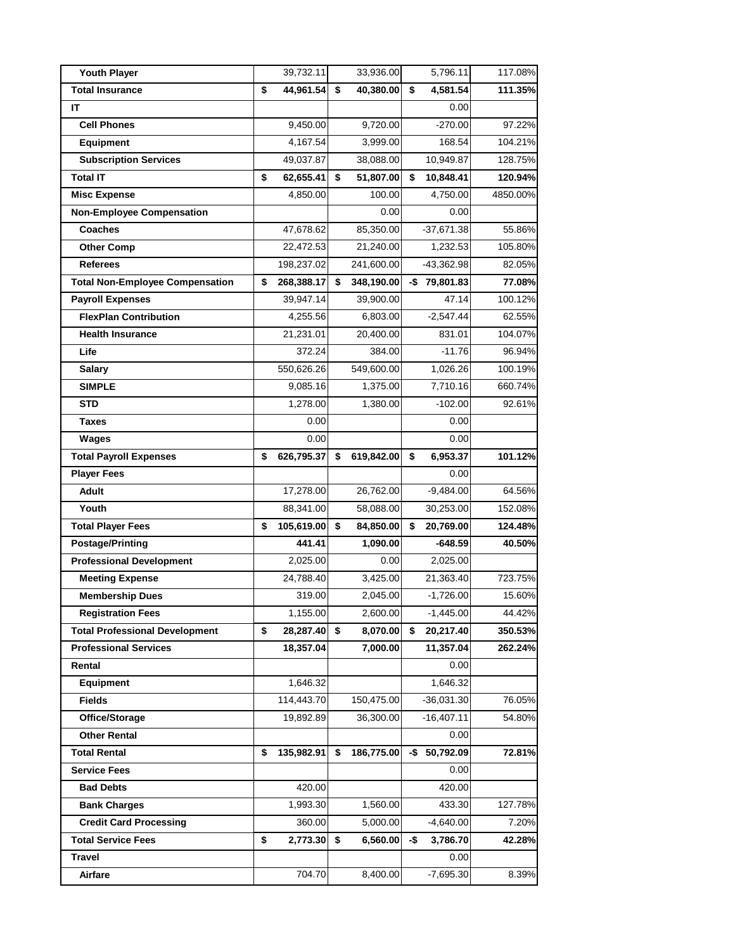| <b>Youth Player</b>                    | 39,732.11        | 33,936.00        |     | 5,796.11        | 117.08%  |
|----------------------------------------|------------------|------------------|-----|-----------------|----------|
| <b>Total Insurance</b>                 | \$<br>44,961.54  | \$<br>40,380.00  | \$  | 4,581.54        | 111.35%  |
| IΤ                                     |                  |                  |     | 0.00            |          |
| <b>Cell Phones</b>                     | 9,450.00         | 9,720.00         |     | $-270.00$       | 97.22%   |
| Equipment                              | 4,167.54         | 3,999.00         |     | 168.54          | 104.21%  |
| <b>Subscription Services</b>           | 49,037.87        | 38,088.00        |     | 10,949.87       | 128.75%  |
| <b>Total IT</b>                        | \$<br>62,655.41  | \$<br>51,807.00  | \$  | 10,848.41       | 120.94%  |
| <b>Misc Expense</b>                    | 4,850.00         | 100.00           |     | 4,750.00        | 4850.00% |
| <b>Non-Employee Compensation</b>       |                  | 0.00             |     | 0.00            |          |
| <b>Coaches</b>                         | 47,678.62        | 85,350.00        |     | $-37,671.38$    | 55.86%   |
| <b>Other Comp</b>                      | 22,472.53        | 21,240.00        |     | 1,232.53        | 105.80%  |
| <b>Referees</b>                        | 198,237.02       | 241,600.00       |     | $-43,362.98$    | 82.05%   |
| <b>Total Non-Employee Compensation</b> | \$<br>268,388.17 | \$<br>348,190.00 |     | $-$ \$79,801.83 | 77.08%   |
| <b>Payroll Expenses</b>                | 39,947.14        | 39,900.00        |     | 47.14           | 100.12%  |
| <b>FlexPlan Contribution</b>           | 4,255.56         | 6,803.00         |     | $-2,547.44$     | 62.55%   |
| <b>Health Insurance</b>                | 21,231.01        | 20,400.00        |     | 831.01          | 104.07%  |
| Life                                   | 372.24           | 384.00           |     | $-11.76$        | 96.94%   |
| Salary                                 | 550,626.26       | 549,600.00       |     | 1,026.26        | 100.19%  |
| <b>SIMPLE</b>                          | 9,085.16         | 1,375.00         |     | 7,710.16        | 660.74%  |
| <b>STD</b>                             | 1,278.00         | 1,380.00         |     | $-102.00$       | 92.61%   |
| Taxes                                  | 0.00             |                  |     | 0.00            |          |
| Wages                                  | 0.00             |                  |     | 0.00            |          |
| <b>Total Payroll Expenses</b>          | \$<br>626,795.37 | \$<br>619,842.00 | \$  | 6,953.37        | 101.12%  |
| <b>Player Fees</b>                     |                  |                  |     | 0.00            |          |
| Adult                                  | 17,278.00        | 26,762.00        |     | $-9,484.00$     | 64.56%   |
| Youth                                  | 88,341.00        | 58,088.00        |     | 30,253.00       | 152.08%  |
| <b>Total Player Fees</b>               | \$<br>105,619.00 | \$<br>84,850.00  | \$  | 20,769.00       | 124.48%  |
| <b>Postage/Printing</b>                | 441.41           | 1,090.00         |     | -648.59         | 40.50%   |
| <b>Professional Development</b>        | 2,025.00         | 0.00             |     | 2,025.00        |          |
| <b>Meeting Expense</b>                 | 24,788.40        | 3,425.00         |     | 21,363.40       | 723.75%  |
| <b>Membership Dues</b>                 | 319.00           | 2,045.00         |     | $-1,726.00$     | 15.60%   |
| <b>Registration Fees</b>               | 1,155.00         | 2,600.00         |     | $-1,445.00$     | 44.42%   |
| <b>Total Professional Development</b>  | \$<br>28,287.40  | \$<br>8,070.00   | \$  | 20,217.40       | 350.53%  |
| <b>Professional Services</b>           | 18,357.04        | 7,000.00         |     | 11,357.04       | 262.24%  |
| Rental                                 |                  |                  |     | 0.00            |          |
| <b>Equipment</b>                       | 1,646.32         |                  |     | 1,646.32        |          |
| <b>Fields</b>                          | 114,443.70       | 150,475.00       |     | $-36,031.30$    | 76.05%   |
| Office/Storage                         | 19,892.89        | 36,300.00        |     | $-16,407.11$    | 54.80%   |
| <b>Other Rental</b>                    |                  |                  |     | 0.00            |          |
| <b>Total Rental</b>                    | \$<br>135,982.91 | \$<br>186,775.00 | -\$ | 50,792.09       | 72.81%   |
| <b>Service Fees</b>                    |                  |                  |     | 0.00            |          |
| <b>Bad Debts</b>                       | 420.00           |                  |     | 420.00          |          |
| <b>Bank Charges</b>                    | 1,993.30         | 1,560.00         |     | 433.30          | 127.78%  |
| <b>Credit Card Processing</b>          | 360.00           | 5,000.00         |     | $-4,640.00$     | 7.20%    |
| <b>Total Service Fees</b>              | \$<br>2,773.30   | \$<br>6,560.00   | -\$ | 3,786.70        | 42.28%   |
| Travel                                 |                  |                  |     | 0.00            |          |
| Airfare                                | 704.70           | 8,400.00         |     | $-7,695.30$     | 8.39%    |